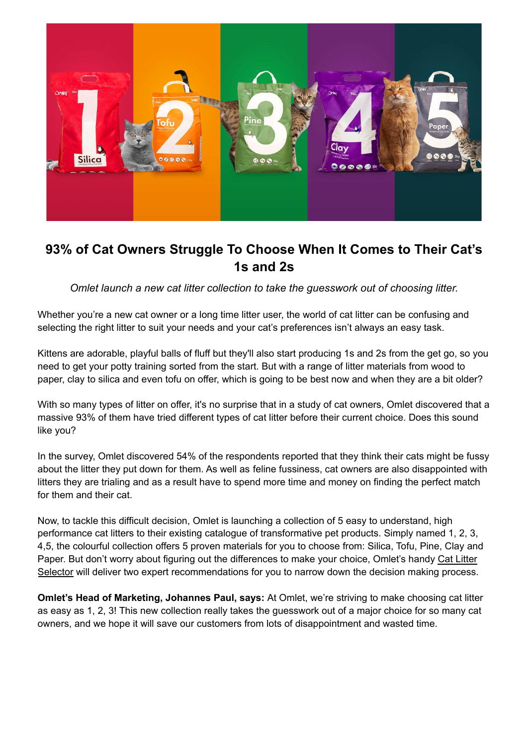

# **93% of Cat Owners Struggle To Choose When It Comes to Their Cat's 1s and 2s**

*Omlet launch a new cat litter collection to take the guesswork out of choosing litter.*

Whether you're a new cat owner or a long time litter user, the world of cat litter can be confusing and selecting the right litter to suit your needs and your cat's preferences isn't always an easy task.

Kittens are adorable, playful balls of fluff but they'll also start producing 1s and 2s from the get go, so you need to get your potty training sorted from the start. But with a range of litter materials from wood to paper, clay to silica and even tofu on offer, which is going to be best now and when they are a bit older?

With so many types of litter on offer, it's no surprise that in a study of cat owners, Omlet discovered that a massive 93% of them have tried different types of cat litter before their current choice. Does this sound like you?

In the survey, Omlet discovered 54% of the respondents reported that they think their cats might be fussy about the litter they put down for them. As well as feline fussiness, cat owners are also disappointed with litters they are trialing and as a result have to spend more time and money on finding the perfect match for them and their cat.

Now, to tackle this difficult decision, Omlet is launching a collection of 5 easy to understand, high performance cat litters to their existing catalogue of transformative pet products. Simply named 1, 2, 3, 4,5, the colourful collection offers 5 proven materials for you to choose from: Silica, Tofu, Pine, Clay and Paper. But don't worry about figuring out the differences to make your choice, Omlet's handy Cat Litter Selector will deliver two expert recommendations for you to narrow down the decision making process.

**Omlet's Head of Marketing, Johannes Paul, says:** At Omlet, we're striving to make choosing cat litter as easy as 1, 2, 3! This new collection really takes the guesswork out of a major choice for so many cat owners, and we hope it will save our customers from lots of disappointment and wasted time.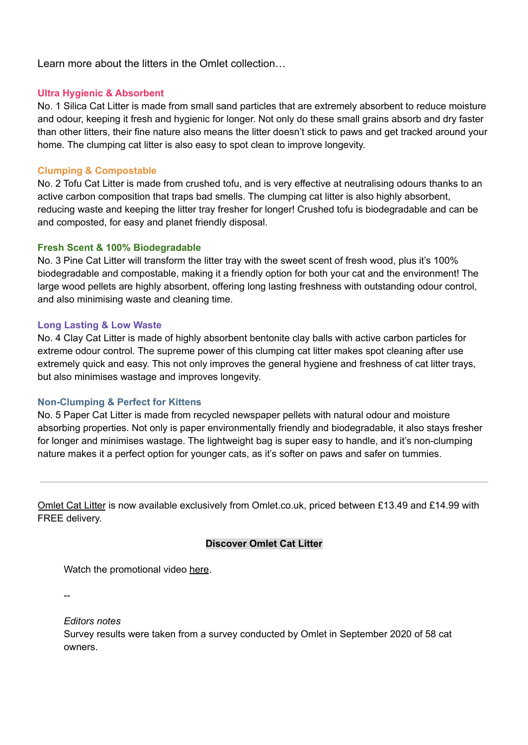Learn more about the litters in the Omlet collection…

## **Ultra Hygienic & Absorbent**

No. 1 Silica Cat Litter is made from small sand particles that are extremely absorbent to reduce moisture and odour, keeping it fresh and hygienic for longer. Not only do these small grains absorb and dry faster than other litters, their fine nature also means the litter doesn't stick to paws and get tracked around your home. The clumping cat litter is also easy to spot clean to improve longevity.

# **Clumping & Compostable**

No. 2 Tofu Cat Litter is made from crushed tofu, and is very effective at neutralising odours thanks to an active carbon composition that traps bad smells. The clumping cat litter is also highly absorbent, reducing waste and keeping the litter tray fresher for longer! Crushed tofu is biodegradable and can be and composted, for easy and planet friendly disposal.

#### **Fresh Scent & 100% Biodegradable**

No. 3 Pine Cat Litter will transform the litter tray with the sweet scent of fresh wood, plus it's 100% biodegradable and compostable, making it a friendly option for both your cat and the environment! The large wood pellets are highly absorbent, offering long lasting freshness with outstanding odour control, and also minimising waste and cleaning time.

#### **Long Lasting & Low Waste**

No. 4 Clay Cat Litter is made of highly absorbent bentonite clay balls with active carbon particles for extreme odour control. The supreme power of this clumping cat litter makes spot cleaning after use extremely quick and easy. This not only improves the general hygiene and freshness of cat litter trays, but also minimises wastage and improves longevity.

## **Non-Clumping & Perfect for Kittens**

No. 5 Paper Cat Litter is made from recycled newspaper pellets with natural odour and moisture absorbing properties. Not only is paper environmentally friendly and biodegradable, it also stays fresher for longer and minimises wastage. The lightweight bag is super easy to handle, and it's non-clumping nature makes it a perfect option for younger cats, as it's softer on paws and safer on tummies.

Omlet Cat Litter is now available exclusively from Omlet.co.uk, priced between £13.49 and £14.99 with FREE delivery.

#### **Discover Omlet Cat Litter**

Watch the promotional video here.

--

*Editors notes*

Survey results were taken from a survey conducted by Omlet in September 2020 of 58 cat owners.